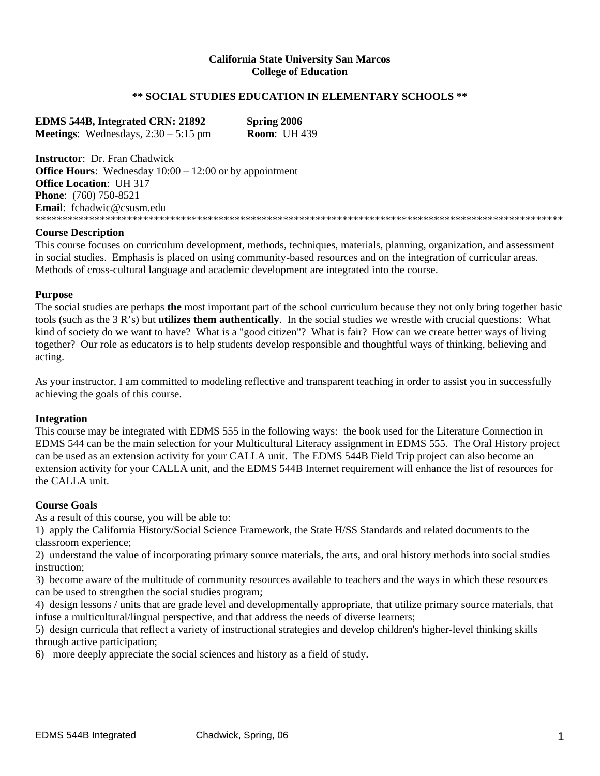### **California State University San Marcos College of Education**

## **\*\* SOCIAL STUDIES EDUCATION IN ELEMENTARY SCHOOLS \*\***

**EDMS 544B, Integrated CRN: 21892 Spring 2006 Meetings**: Wednesdays, 2:30 – 5:15 pm **Room**: UH 439

**Instructor**: Dr. Fran Chadwick **Office Hours:** Wednesday  $10:00 - 12:00$  or by appointment **Office Location**: UH 317 **Phone**: (760) 750-8521 **Email**: fchadwic@csusm.edu \*\*\*\*\*\*\*\*\*\*\*\*\*\*\*\*\*\*\*\*\*\*\*\*\*\*\*\*\*\*\*\*\*\*\*\*\*\*\*\*\*\*\*\*\*\*\*\*\*\*\*\*\*\*\*\*\*\*\*\*\*\*\*\*\*\*\*\*\*\*\*\*\*\*\*\*\*\*\*\*\*\*\*\*\*\*\*\*\*\*\*\*\*\*\*\*\*\*

#### **Course Description**

This course focuses on curriculum development, methods, techniques, materials, planning, organization, and assessment in social studies. Emphasis is placed on using community-based resources and on the integration of curricular areas. Methods of cross-cultural language and academic development are integrated into the course.

#### **Purpose**

The social studies are perhaps **the** most important part of the school curriculum because they not only bring together basic tools (such as the 3 R's) but **utilizes them authentically**. In the social studies we wrestle with crucial questions: What kind of society do we want to have? What is a "good citizen"? What is fair? How can we create better ways of living together? Our role as educators is to help students develop responsible and thoughtful ways of thinking, believing and acting.

As your instructor, I am committed to modeling reflective and transparent teaching in order to assist you in successfully achieving the goals of this course.

#### **Integration**

This course may be integrated with EDMS 555 in the following ways: the book used for the Literature Connection in EDMS 544 can be the main selection for your Multicultural Literacy assignment in EDMS 555. The Oral History project can be used as an extension activity for your CALLA unit. The EDMS 544B Field Trip project can also become an extension activity for your CALLA unit, and the EDMS 544B Internet requirement will enhance the list of resources for the CALLA unit.

#### **Course Goals**

As a result of this course, you will be able to:

1) apply the California History/Social Science Framework, the State H/SS Standards and related documents to the classroom experience;

2) understand the value of incorporating primary source materials, the arts, and oral history methods into social studies instruction;

3) become aware of the multitude of community resources available to teachers and the ways in which these resources can be used to strengthen the social studies program;

4) design lessons / units that are grade level and developmentally appropriate, that utilize primary source materials, that infuse a multicultural/lingual perspective, and that address the needs of diverse learners;

5) design curricula that reflect a variety of instructional strategies and develop children's higher-level thinking skills through active participation;

6) more deeply appreciate the social sciences and history as a field of study.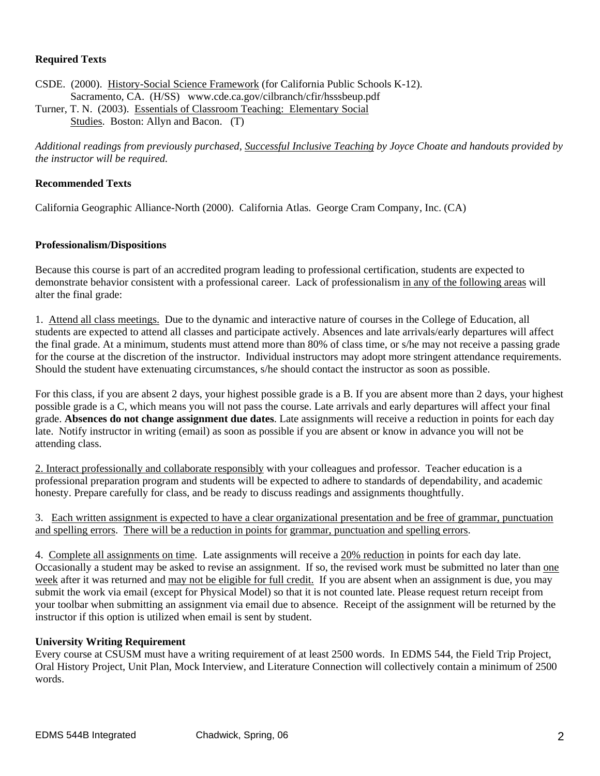## **Required Texts**

CSDE. (2000). History-Social Science Framework (for California Public Schools K-12). Sacramento, CA. (H/SS) www.cde.ca.gov/cilbranch/cfir/hsssbeup.pdf Turner, T. N. (2003). Essentials of Classroom Teaching: Elementary Social

Studies. Boston: Allyn and Bacon. (T)

*Additional readings from previously purchased, Successful Inclusive Teaching by Joyce Choate and handouts provided by the instructor will be required.* 

## **Recommended Texts**

California Geographic Alliance-North (2000). California Atlas. George Cram Company, Inc. (CA)

## **Professionalism/Dispositions**

Because this course is part of an accredited program leading to professional certification, students are expected to demonstrate behavior consistent with a professional career. Lack of professionalism in any of the following areas will alter the final grade:

1. Attend all class meetings. Due to the dynamic and interactive nature of courses in the College of Education, all students are expected to attend all classes and participate actively. Absences and late arrivals/early departures will affect the final grade. At a minimum, students must attend more than 80% of class time, or s/he may not receive a passing grade for the course at the discretion of the instructor. Individual instructors may adopt more stringent attendance requirements. Should the student have extenuating circumstances, s/he should contact the instructor as soon as possible.

For this class, if you are absent 2 days, your highest possible grade is a B. If you are absent more than 2 days, your highest possible grade is a C, which means you will not pass the course. Late arrivals and early departures will affect your final grade. **Absences do not change assignment due dates**. Late assignments will receive a reduction in points for each day late. Notify instructor in writing (email) as soon as possible if you are absent or know in advance you will not be attending class.

2. Interact professionally and collaborate responsibly with your colleagues and professor. Teacher education is a professional preparation program and students will be expected to adhere to standards of dependability, and academic honesty. Prepare carefully for class, and be ready to discuss readings and assignments thoughtfully.

## 3. Each written assignment is expected to have a clear organizational presentation and be free of grammar, punctuation and spelling errors. There will be a reduction in points for grammar, punctuation and spelling errors.

4. Complete all assignments on time. Late assignments will receive a 20% reduction in points for each day late. Occasionally a student may be asked to revise an assignment. If so, the revised work must be submitted no later than one week after it was returned and may not be eligible for full credit. If you are absent when an assignment is due, you may submit the work via email (except for Physical Model) so that it is not counted late. Please request return receipt from your toolbar when submitting an assignment via email due to absence. Receipt of the assignment will be returned by the instructor if this option is utilized when email is sent by student.

## **University Writing Requirement**

Every course at CSUSM must have a writing requirement of at least 2500 words. In EDMS 544, the Field Trip Project, Oral History Project, Unit Plan, Mock Interview, and Literature Connection will collectively contain a minimum of 2500 words.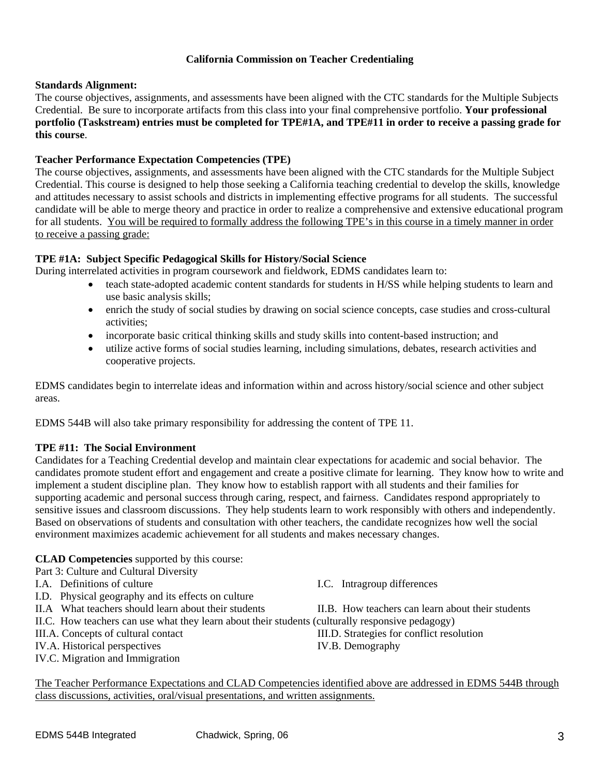## **California Commission on Teacher Credentialing**

## **Standards Alignment:**

The course objectives, assignments, and assessments have been aligned with the CTC standards for the Multiple Subjects Credential. Be sure to incorporate artifacts from this class into your final comprehensive portfolio. **Your professional portfolio (Taskstream) entries must be completed for TPE#1A, and TPE#11 in order to receive a passing grade for this course**.

## **Teacher Performance Expectation Competencies (TPE)**

The course objectives, assignments, and assessments have been aligned with the CTC standards for the Multiple Subject Credential. This course is designed to help those seeking a California teaching credential to develop the skills, knowledge and attitudes necessary to assist schools and districts in implementing effective programs for all students. The successful candidate will be able to merge theory and practice in order to realize a comprehensive and extensive educational program for all students. You will be required to formally address the following TPE's in this course in a timely manner in order to receive a passing grade:

## **TPE #1A: Subject Specific Pedagogical Skills for History/Social Science**

During interrelated activities in program coursework and fieldwork, EDMS candidates learn to:

- teach state-adopted academic content standards for students in H/SS while helping students to learn and use basic analysis skills;
- enrich the study of social studies by drawing on social science concepts, case studies and cross-cultural activities;
- incorporate basic critical thinking skills and study skills into content-based instruction; and
- utilize active forms of social studies learning, including simulations, debates, research activities and cooperative projects.

EDMS candidates begin to interrelate ideas and information within and across history/social science and other subject areas.

EDMS 544B will also take primary responsibility for addressing the content of TPE 11.

## **TPE #11: The Social Environment**

Candidates for a Teaching Credential develop and maintain clear expectations for academic and social behavior. The candidates promote student effort and engagement and create a positive climate for learning. They know how to write and implement a student discipline plan. They know how to establish rapport with all students and their families for supporting academic and personal success through caring, respect, and fairness. Candidates respond appropriately to sensitive issues and classroom discussions. They help students learn to work responsibly with others and independently. Based on observations of students and consultation with other teachers, the candidate recognizes how well the social environment maximizes academic achievement for all students and makes necessary changes.

## **CLAD Competencies** supported by this course:

Part 3: Culture and Cultural Diversity

- I.A. Definitions of culture I.C. Intragroup differences
- I.D. Physical geography and its effects on culture
- 
- II.C. How teachers can use what they learn about their students (culturally responsive pedagogy)
- 
- IV.A. Historical perspectives IV.B. Demography
- IV.C. Migration and Immigration

II.A What teachers should learn about their students II.B. How teachers can learn about their students

III.A. Concepts of cultural contact III.D. Strategies for conflict resolution

The Teacher Performance Expectations and CLAD Competencies identified above are addressed in EDMS 544B through class discussions, activities, oral/visual presentations, and written assignments.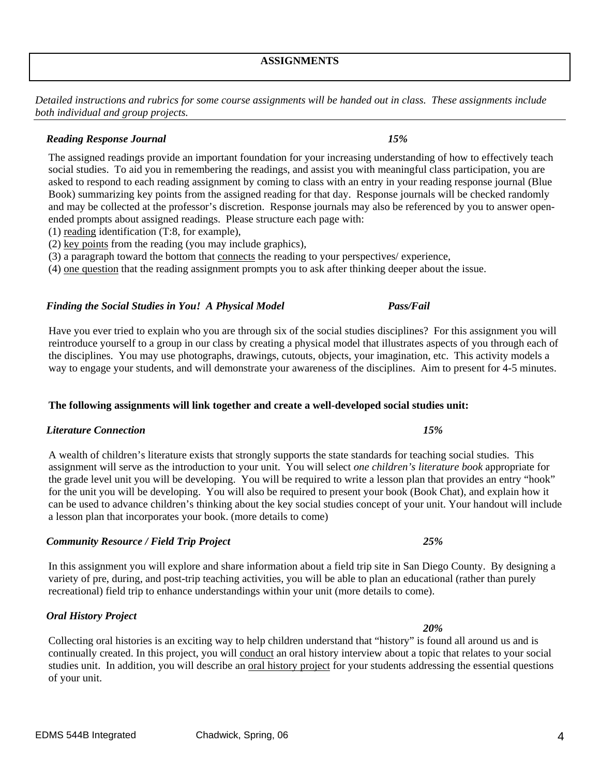*Detailed instructions and rubrics for some course assignments will be handed out in class. These assignments include both individual and group projects.* 

## *Reading Response Journal 15%*

The assigned readings provide an important foundation for your increasing understanding of how to effectively teach social studies. To aid you in remembering the readings, and assist you with meaningful class participation, you are asked to respond to each reading assignment by coming to class with an entry in your reading response journal (Blue Book) summarizing key points from the assigned reading for that day. Response journals will be checked randomly and may be collected at the professor's discretion. Response journals may also be referenced by you to answer openended prompts about assigned readings. Please structure each page with:

- (1) reading identification (T:8, for example),
- (2) key points from the reading (you may include graphics),
- (3) a paragraph toward the bottom that connects the reading to your perspectives/ experience,

(4) one question that the reading assignment prompts you to ask after thinking deeper about the issue.

## *Finding the Social Studies in You! A Physical Model Pass/Fail*

Have you ever tried to explain who you are through six of the social studies disciplines? For this assignment you will reintroduce yourself to a group in our class by creating a physical model that illustrates aspects of you through each of the disciplines. You may use photographs, drawings, cutouts, objects, your imagination, etc. This activity models a way to engage your students, and will demonstrate your awareness of the disciplines. Aim to present for 4-5 minutes.

# **The following assignments will link together and create a well-developed social studies unit:**

# *Literature Connection 15%*

A wealth of children's literature exists that strongly supports the state standards for teaching social studies. This assignment will serve as the introduction to your unit. You will select *one children's literature book* appropriate for the grade level unit you will be developing. You will be required to write a lesson plan that provides an entry "hook" for the unit you will be developing. You will also be required to present your book (Book Chat), and explain how it can be used to advance children's thinking about the key social studies concept of your unit. Your handout will include a lesson plan that incorporates your book. (more details to come)

# *Community Resource / Field Trip Project 25%*

In this assignment you will explore and share information about a field trip site in San Diego County. By designing a variety of pre, during, and post-trip teaching activities, you will be able to plan an educational (rather than purely recreational) field trip to enhance understandings within your unit (more details to come).

## *Oral History Project*

Collecting oral histories is an exciting way to help children understand that "history" is found all around us and is continually created. In this project, you will conduct an oral history interview about a topic that relates to your social studies unit. In addition, you will describe an oral history project for your students addressing the essential questions of your unit.

# *20%*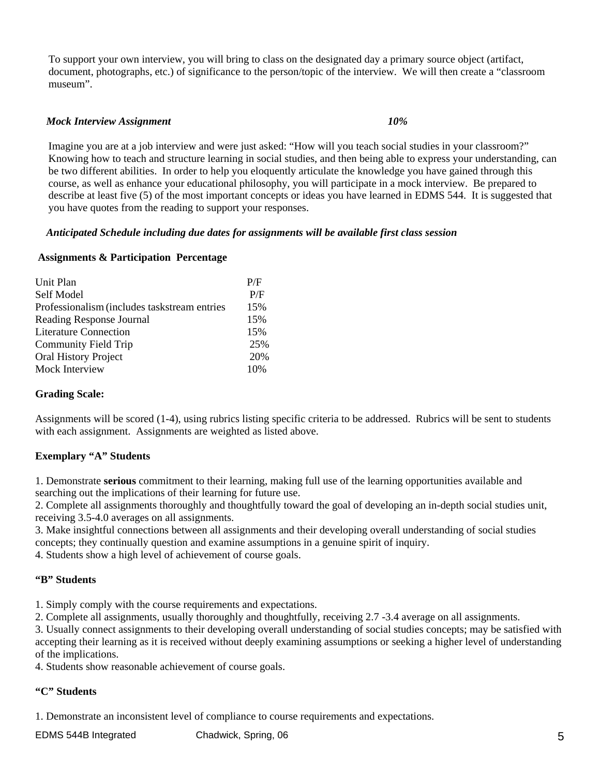To support your own interview, you will bring to class on the designated day a primary source object (artifact, document, photographs, etc.) of significance to the person/topic of the interview. We will then create a "classroom museum".

## *Mock Interview Assignment 10%*

Imagine you are at a job interview and were just asked: "How will you teach social studies in your classroom?" Knowing how to teach and structure learning in social studies, and then being able to express your understanding, can be two different abilities. In order to help you eloquently articulate the knowledge you have gained through this course, as well as enhance your educational philosophy, you will participate in a mock interview. Be prepared to describe at least five (5) of the most important concepts or ideas you have learned in EDMS 544. It is suggested that you have quotes from the reading to support your responses.

### *Anticipated Schedule including due dates for assignments will be available first class session*

### **Assignments & Participation Percentage**

| Unit Plan                                    | P/F |
|----------------------------------------------|-----|
| Self Model                                   | P/F |
| Professionalism (includes taskstream entries | 15% |
| Reading Response Journal                     | 15% |
| <b>Literature Connection</b>                 | 15% |
| <b>Community Field Trip</b>                  | 25% |
| Oral History Project                         | 20% |
| Mock Interview                               | 10% |

## **Grading Scale:**

Assignments will be scored (1-4), using rubrics listing specific criteria to be addressed. Rubrics will be sent to students with each assignment. Assignments are weighted as listed above.

## **Exemplary "A" Students**

1. Demonstrate **serious** commitment to their learning, making full use of the learning opportunities available and searching out the implications of their learning for future use.

2. Complete all assignments thoroughly and thoughtfully toward the goal of developing an in-depth social studies unit, receiving 3.5-4.0 averages on all assignments.

3. Make insightful connections between all assignments and their developing overall understanding of social studies concepts; they continually question and examine assumptions in a genuine spirit of inquiry.

4. Students show a high level of achievement of course goals.

#### **"B" Students**

1. Simply comply with the course requirements and expectations.

2. Complete all assignments, usually thoroughly and thoughtfully, receiving 2.7 -3.4 average on all assignments.

3. Usually connect assignments to their developing overall understanding of social studies concepts; may be satisfied with accepting their learning as it is received without deeply examining assumptions or seeking a higher level of understanding of the implications.

4. Students show reasonable achievement of course goals.

#### **"C" Students**

1. Demonstrate an inconsistent level of compliance to course requirements and expectations.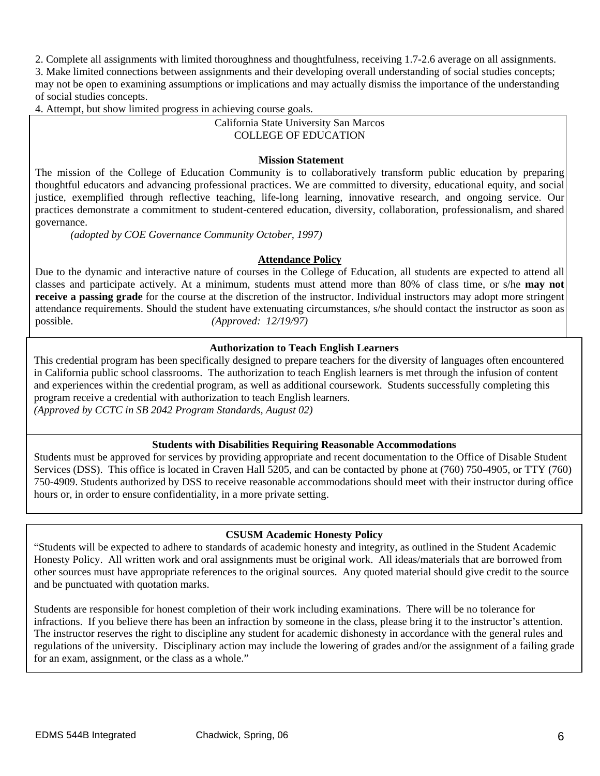2. Complete all assignments with limited thoroughness and thoughtfulness, receiving 1.7-2.6 average on all assignments. 3. Make limited connections between assignments and their developing overall understanding of social studies concepts; may not be open to examining assumptions or implications and may actually dismiss the importance of the understanding of social studies concepts.

4. Attempt, but show limited progress in achieving course goals.

## California State University San Marcos COLLEGE OF EDUCATION

## **Mission Statement**

The mission of the College of Education Community is to collaboratively transform public education by preparing thoughtful educators and advancing professional practices. We are committed to diversity, educational equity, and social justice, exemplified through reflective teaching, life-long learning, innovative research, and ongoing service. Our practices demonstrate a commitment to student-centered education, diversity, collaboration, professionalism, and shared governance.

*(adopted by COE Governance Community October, 1997)*

### **Attendance Policy**

Due to the dynamic and interactive nature of courses in the College of Education, all students are expected to attend all classes and participate actively. At a minimum, students must attend more than 80% of class time, or s/he **may not receive a passing grade** for the course at the discretion of the instructor. Individual instructors may adopt more stringent attendance requirements. Should the student have extenuating circumstances, s/he should contact the instructor as soon as possible. *(Approved: 12/19/97)* 

## **Authorization to Teach English Learners**

This credential program has been specifically designed to prepare teachers for the diversity of languages often encountered in California public school classrooms. The authorization to teach English learners is met through the infusion of content and experiences within the credential program, as well as additional coursework. Students successfully completing this program receive a credential with authorization to teach English learners.

*(Approved by CCTC in SB 2042 Program Standards, August 02)*

## **Students with Disabilities Requiring Reasonable Accommodations**

Students must be approved for services by providing appropriate and recent documentation to the Office of Disable Student Services (DSS). This office is located in Craven Hall 5205, and can be contacted by phone at (760) 750-4905, or TTY (760) 750-4909. Students authorized by DSS to receive reasonable accommodations should meet with their instructor during office hours or, in order to ensure confidentiality, in a more private setting.

## **CSUSM Academic Honesty Policy**

other sources must have appropriate references to the original sources. Any quoted material should give credit to the source "Students will be expected to adhere to standards of academic honesty and integrity, as outlined in the Student Academic Honesty Policy. All written work and oral assignments must be original work. All ideas/materials that are borrowed from and be punctuated with quotation marks.

Students are responsible for honest completion of their work including examinations. There will be no tolerance for infractions. If you believe there has been an infraction by someone in the class, please bring it to the instructor's attention. The instructor reserves the right to discipline any student for academic dishonesty in accordance with the general rules and regulations of the university. Disciplinary action may include the lowering of grades and/or the assignment of a failing grade for an exam, assignment, or the class as a whole."